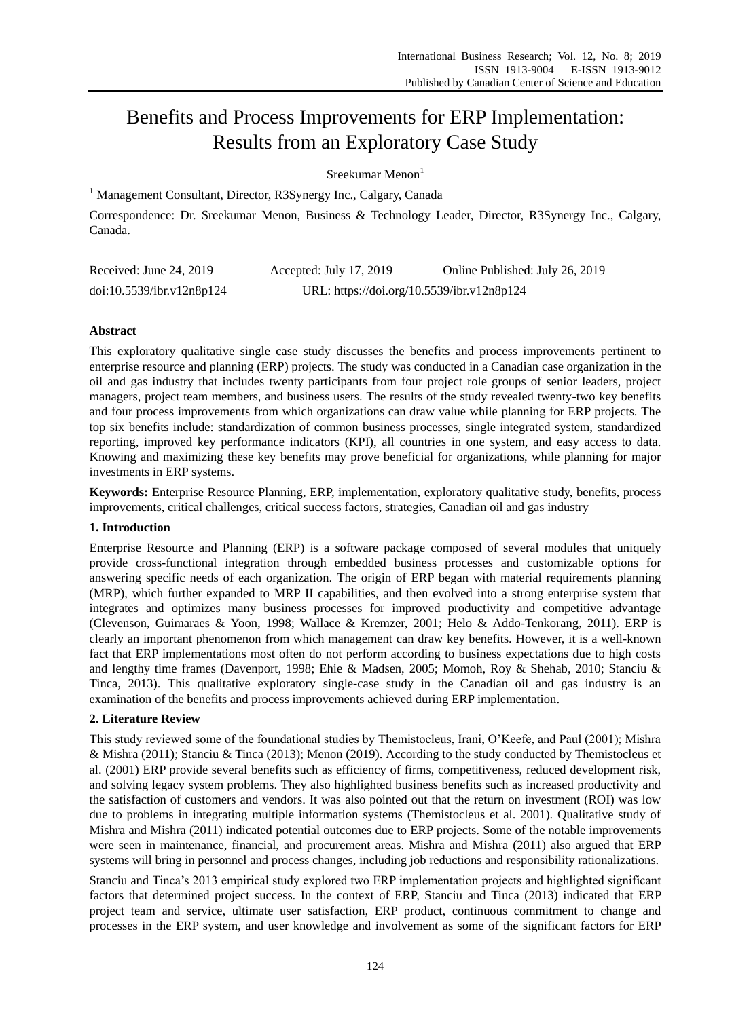# Benefits and Process Improvements for ERP Implementation: Results from an Exploratory Case Study

Sreekumar Menon $<sup>1</sup>$ </sup>

<sup>1</sup> Management Consultant, Director, R3Synergy Inc., Calgary, Canada

Correspondence: Dr. Sreekumar Menon, Business & Technology Leader, Director, R3Synergy Inc., Calgary, Canada.

| Received: June 24, 2019   | Accepted: July 17, 2019                    | Online Published: July 26, 2019 |
|---------------------------|--------------------------------------------|---------------------------------|
| doi:10.5539/ibr.v12n8p124 | URL: https://doi.org/10.5539/ibr.v12n8p124 |                                 |

# **Abstract**

This exploratory qualitative single case study discusses the benefits and process improvements pertinent to enterprise resource and planning (ERP) projects. The study was conducted in a Canadian case organization in the oil and gas industry that includes twenty participants from four project role groups of senior leaders, project managers, project team members, and business users. The results of the study revealed twenty-two key benefits and four process improvements from which organizations can draw value while planning for ERP projects. The top six benefits include: standardization of common business processes, single integrated system, standardized reporting, improved key performance indicators (KPI), all countries in one system, and easy access to data. Knowing and maximizing these key benefits may prove beneficial for organizations, while planning for major investments in ERP systems.

**Keywords:** Enterprise Resource Planning, ERP, implementation, exploratory qualitative study, benefits, process improvements, critical challenges, critical success factors, strategies, Canadian oil and gas industry

## **1. Introduction**

Enterprise Resource and Planning (ERP) is a software package composed of several modules that uniquely provide cross-functional integration through embedded business processes and customizable options for answering specific needs of each organization. The origin of ERP began with material requirements planning (MRP), which further expanded to MRP II capabilities, and then evolved into a strong enterprise system that integrates and optimizes many business processes for improved productivity and competitive advantage (Clevenson, Guimaraes & Yoon, 1998; Wallace & Kremzer, 2001; Helo & Addo-Tenkorang, 2011). ERP is clearly an important phenomenon from which management can draw key benefits. However, it is a well-known fact that ERP implementations most often do not perform according to business expectations due to high costs and lengthy time frames (Davenport, 1998; Ehie & Madsen, 2005; Momoh, Roy & Shehab, 2010; Stanciu & Tinca, 2013). This qualitative exploratory single-case study in the Canadian oil and gas industry is an examination of the benefits and process improvements achieved during ERP implementation.

## **2. Literature Review**

This study reviewed some of the foundational studies by Themistocleus, Irani, O'Keefe, and Paul (2001); Mishra & Mishra (2011); Stanciu & Tinca (2013); Menon (2019). According to the study conducted by Themistocleus et al. (2001) ERP provide several benefits such as efficiency of firms, competitiveness, reduced development risk, and solving legacy system problems. They also highlighted business benefits such as increased productivity and the satisfaction of customers and vendors. It was also pointed out that the return on investment (ROI) was low due to problems in integrating multiple information systems (Themistocleus et al. 2001). Qualitative study of Mishra and Mishra (2011) indicated potential outcomes due to ERP projects. Some of the notable improvements were seen in maintenance, financial, and procurement areas. Mishra and Mishra (2011) also argued that ERP systems will bring in personnel and process changes, including job reductions and responsibility rationalizations.

Stanciu and Tinca's 2013 empirical study explored two ERP implementation projects and highlighted significant factors that determined project success. In the context of ERP, Stanciu and Tinca (2013) indicated that ERP project team and service, ultimate user satisfaction, ERP product, continuous commitment to change and processes in the ERP system, and user knowledge and involvement as some of the significant factors for ERP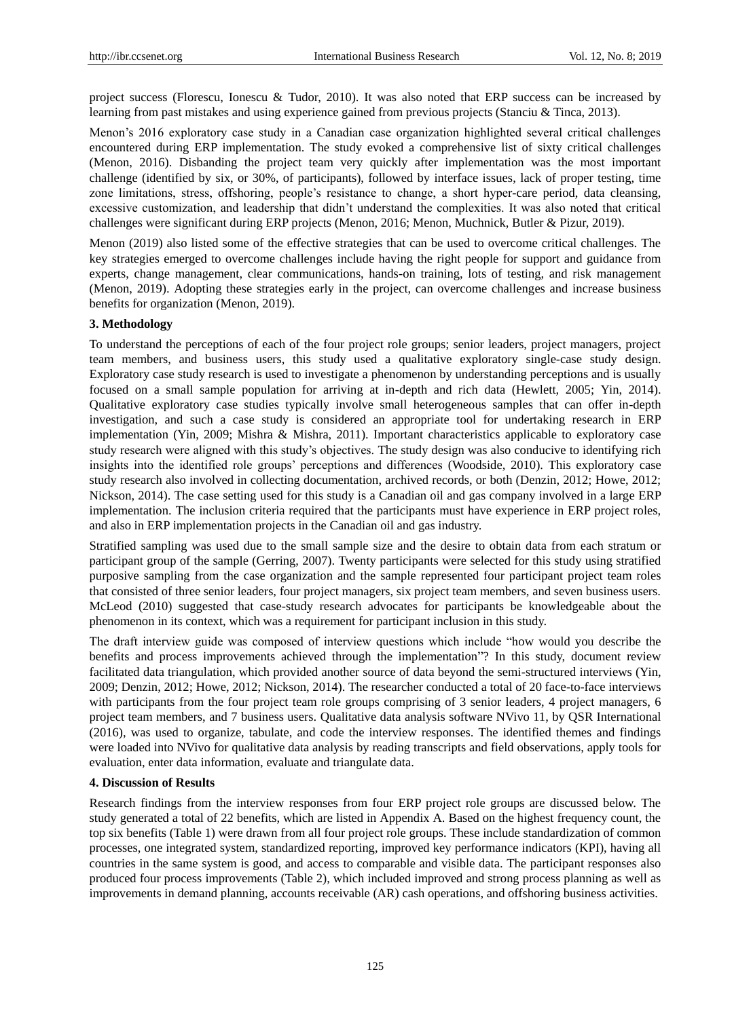project success (Florescu, Ionescu & Tudor, 2010). It was also noted that ERP success can be increased by learning from past mistakes and using experience gained from previous projects (Stanciu & Tinca, 2013).

Menon's 2016 exploratory case study in a Canadian case organization highlighted several critical challenges encountered during ERP implementation. The study evoked a comprehensive list of sixty critical challenges (Menon, 2016). Disbanding the project team very quickly after implementation was the most important challenge (identified by six, or 30%, of participants), followed by interface issues, lack of proper testing, time zone limitations, stress, offshoring, people's resistance to change, a short hyper-care period, data cleansing, excessive customization, and leadership that didn't understand the complexities. It was also noted that critical challenges were significant during ERP projects (Menon, 2016; Menon, Muchnick, Butler & Pizur, 2019).

Menon (2019) also listed some of the effective strategies that can be used to overcome critical challenges. The key strategies emerged to overcome challenges include having the right people for support and guidance from experts, change management, clear communications, hands-on training, lots of testing, and risk management (Menon, 2019). Adopting these strategies early in the project, can overcome challenges and increase business benefits for organization (Menon, 2019).

#### **3. Methodology**

To understand the perceptions of each of the four project role groups; senior leaders, project managers, project team members, and business users, this study used a qualitative exploratory single-case study design. Exploratory case study research is used to investigate a phenomenon by understanding perceptions and is usually focused on a small sample population for arriving at in-depth and rich data (Hewlett, 2005; Yin, 2014). Qualitative exploratory case studies typically involve small heterogeneous samples that can offer in-depth investigation, and such a case study is considered an appropriate tool for undertaking research in ERP implementation (Yin, 2009; Mishra & Mishra, 2011). Important characteristics applicable to exploratory case study research were aligned with this study's objectives. The study design was also conducive to identifying rich insights into the identified role groups' perceptions and differences (Woodside, 2010). This exploratory case study research also involved in collecting documentation, archived records, or both (Denzin, 2012; Howe, 2012; Nickson, 2014). The case setting used for this study is a Canadian oil and gas company involved in a large ERP implementation. The inclusion criteria required that the participants must have experience in ERP project roles, and also in ERP implementation projects in the Canadian oil and gas industry.

Stratified sampling was used due to the small sample size and the desire to obtain data from each stratum or participant group of the sample (Gerring, 2007). Twenty participants were selected for this study using stratified purposive sampling from the case organization and the sample represented four participant project team roles that consisted of three senior leaders, four project managers, six project team members, and seven business users. McLeod (2010) suggested that case-study research advocates for participants be knowledgeable about the phenomenon in its context, which was a requirement for participant inclusion in this study.

The draft interview guide was composed of interview questions which include "how would you describe the benefits and process improvements achieved through the implementation"? In this study, document review facilitated data triangulation, which provided another source of data beyond the semi-structured interviews (Yin, 2009; Denzin, 2012; Howe, 2012; Nickson, 2014). The researcher conducted a total of 20 face-to-face interviews with participants from the four project team role groups comprising of 3 senior leaders, 4 project managers, 6 project team members, and 7 business users. Qualitative data analysis software NVivo 11, by QSR International (2016), was used to organize, tabulate, and code the interview responses. The identified themes and findings were loaded into NVivo for qualitative data analysis by reading transcripts and field observations, apply tools for evaluation, enter data information, evaluate and triangulate data.

#### **4. Discussion of Results**

Research findings from the interview responses from four ERP project role groups are discussed below. The study generated a total of 22 benefits, which are listed in Appendix A. Based on the highest frequency count, the top six benefits (Table 1) were drawn from all four project role groups. These include standardization of common processes, one integrated system, standardized reporting, improved key performance indicators (KPI), having all countries in the same system is good, and access to comparable and visible data. The participant responses also produced four process improvements (Table 2), which included improved and strong process planning as well as improvements in demand planning, accounts receivable (AR) cash operations, and offshoring business activities.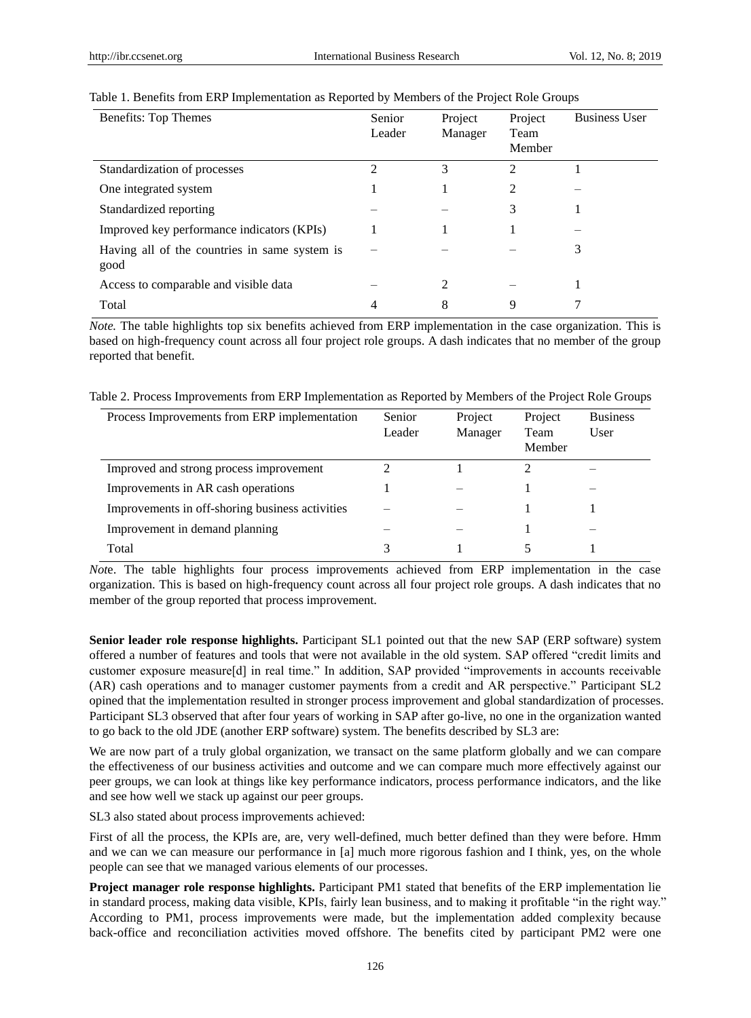| Benefits: Top Themes                                  | Senior<br>Leader | Project<br>Manager | Project<br>Team<br>Member | <b>Business User</b> |
|-------------------------------------------------------|------------------|--------------------|---------------------------|----------------------|
| Standardization of processes                          | 2                | 3                  | 2                         |                      |
| One integrated system                                 |                  |                    | $\mathcal{L}$             |                      |
| Standardized reporting                                |                  |                    | 3                         |                      |
| Improved key performance indicators (KPIs)            |                  |                    |                           |                      |
| Having all of the countries in same system is<br>good |                  |                    |                           | 3                    |
| Access to comparable and visible data                 |                  | 2                  |                           |                      |
| Total                                                 |                  | 8                  | 9                         |                      |

#### Table 1. Benefits from ERP Implementation as Reported by Members of the Project Role Groups

*Note*. The table highlights top six benefits achieved from ERP implementation in the case organization. This is based on high-frequency count across all four project role groups. A dash indicates that no member of the group reported that benefit.

Table 2. Process Improvements from ERP Implementation as Reported by Members of the Project Role Groups

| Process Improvements from ERP implementation    | Senior.<br>Leader | Project<br>Manager | Project<br>Team<br>Member | <b>Business</b><br>User |
|-------------------------------------------------|-------------------|--------------------|---------------------------|-------------------------|
| Improved and strong process improvement         |                   |                    | 2                         |                         |
| Improvements in AR cash operations              |                   |                    |                           |                         |
| Improvements in off-shoring business activities |                   |                    |                           |                         |
| Improvement in demand planning                  |                   |                    |                           |                         |
| Total                                           |                   |                    |                           |                         |

*Not*e. The table highlights four process improvements achieved from ERP implementation in the case organization. This is based on high-frequency count across all four project role groups. A dash indicates that no member of the group reported that process improvement.

**Senior leader role response highlights.** Participant SL1 pointed out that the new SAP (ERP software) system offered a number of features and tools that were not available in the old system. SAP offered "credit limits and customer exposure measure[d] in real time." In addition, SAP provided "improvements in accounts receivable (AR) cash operations and to manager customer payments from a credit and AR perspective." Participant SL2 opined that the implementation resulted in stronger process improvement and global standardization of processes. Participant SL3 observed that after four years of working in SAP after go-live, no one in the organization wanted to go back to the old JDE (another ERP software) system. The benefits described by SL3 are:

We are now part of a truly global organization, we transact on the same platform globally and we can compare the effectiveness of our business activities and outcome and we can compare much more effectively against our peer groups, we can look at things like key performance indicators, process performance indicators, and the like and see how well we stack up against our peer groups.

SL3 also stated about process improvements achieved:

First of all the process, the KPIs are, are, very well-defined, much better defined than they were before. Hmm and we can we can measure our performance in [a] much more rigorous fashion and I think, yes, on the whole people can see that we managed various elements of our processes.

**Project manager role response highlights.** Participant PM1 stated that benefits of the ERP implementation lie in standard process, making data visible, KPIs, fairly lean business, and to making it profitable "in the right way." According to PM1, process improvements were made, but the implementation added complexity because back-office and reconciliation activities moved offshore. The benefits cited by participant PM2 were one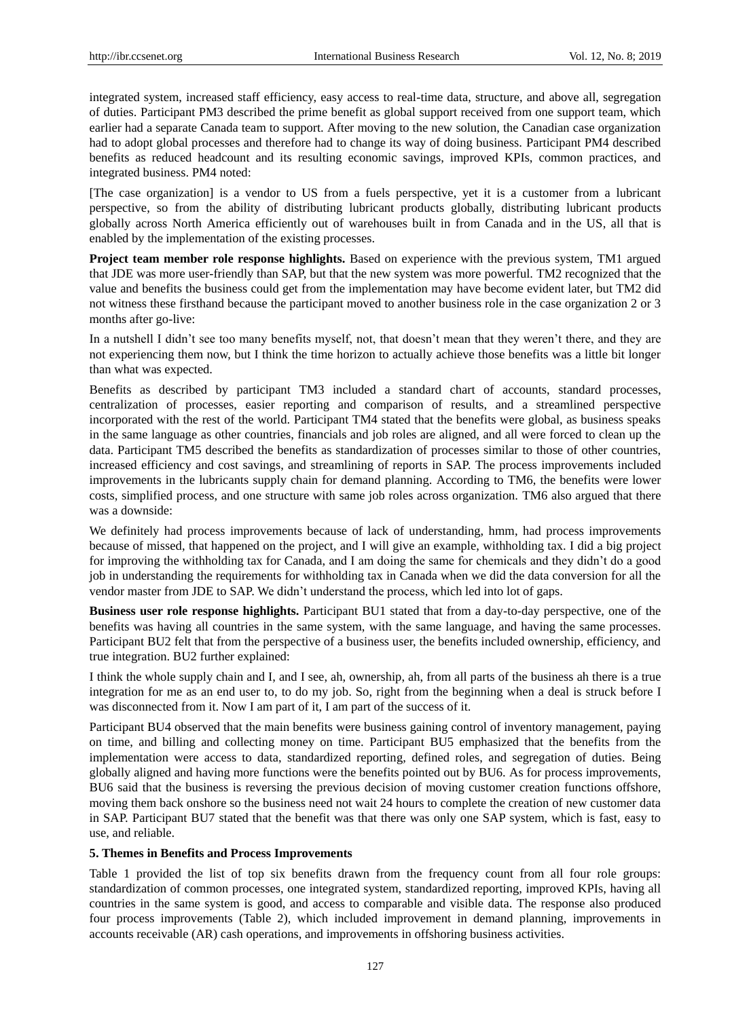integrated system, increased staff efficiency, easy access to real-time data, structure, and above all, segregation of duties. Participant PM3 described the prime benefit as global support received from one support team, which earlier had a separate Canada team to support. After moving to the new solution, the Canadian case organization had to adopt global processes and therefore had to change its way of doing business. Participant PM4 described benefits as reduced headcount and its resulting economic savings, improved KPIs, common practices, and integrated business. PM4 noted:

[The case organization] is a vendor to US from a fuels perspective, yet it is a customer from a lubricant perspective, so from the ability of distributing lubricant products globally, distributing lubricant products globally across North America efficiently out of warehouses built in from Canada and in the US, all that is enabled by the implementation of the existing processes.

**Project team member role response highlights.** Based on experience with the previous system, TM1 argued that JDE was more user-friendly than SAP, but that the new system was more powerful. TM2 recognized that the value and benefits the business could get from the implementation may have become evident later, but TM2 did not witness these firsthand because the participant moved to another business role in the case organization 2 or 3 months after go-live:

In a nutshell I didn't see too many benefits myself, not, that doesn't mean that they weren't there, and they are not experiencing them now, but I think the time horizon to actually achieve those benefits was a little bit longer than what was expected.

Benefits as described by participant TM3 included a standard chart of accounts, standard processes, centralization of processes, easier reporting and comparison of results, and a streamlined perspective incorporated with the rest of the world. Participant TM4 stated that the benefits were global, as business speaks in the same language as other countries, financials and job roles are aligned, and all were forced to clean up the data. Participant TM5 described the benefits as standardization of processes similar to those of other countries, increased efficiency and cost savings, and streamlining of reports in SAP. The process improvements included improvements in the lubricants supply chain for demand planning. According to TM6, the benefits were lower costs, simplified process, and one structure with same job roles across organization. TM6 also argued that there was a downside:

We definitely had process improvements because of lack of understanding, hmm, had process improvements because of missed, that happened on the project, and I will give an example, withholding tax. I did a big project for improving the withholding tax for Canada, and I am doing the same for chemicals and they didn't do a good job in understanding the requirements for withholding tax in Canada when we did the data conversion for all the vendor master from JDE to SAP. We didn't understand the process, which led into lot of gaps.

**Business user role response highlights.** Participant BU1 stated that from a day-to-day perspective, one of the benefits was having all countries in the same system, with the same language, and having the same processes. Participant BU2 felt that from the perspective of a business user, the benefits included ownership, efficiency, and true integration. BU2 further explained:

I think the whole supply chain and I, and I see, ah, ownership, ah, from all parts of the business ah there is a true integration for me as an end user to, to do my job. So, right from the beginning when a deal is struck before I was disconnected from it. Now I am part of it, I am part of the success of it.

Participant BU4 observed that the main benefits were business gaining control of inventory management, paying on time, and billing and collecting money on time. Participant BU5 emphasized that the benefits from the implementation were access to data, standardized reporting, defined roles, and segregation of duties. Being globally aligned and having more functions were the benefits pointed out by BU6. As for process improvements, BU6 said that the business is reversing the previous decision of moving customer creation functions offshore, moving them back onshore so the business need not wait 24 hours to complete the creation of new customer data in SAP. Participant BU7 stated that the benefit was that there was only one SAP system, which is fast, easy to use, and reliable.

#### **5. Themes in Benefits and Process Improvements**

Table 1 provided the list of top six benefits drawn from the frequency count from all four role groups: standardization of common processes, one integrated system, standardized reporting, improved KPIs, having all countries in the same system is good, and access to comparable and visible data. The response also produced four process improvements (Table 2), which included improvement in demand planning, improvements in accounts receivable (AR) cash operations, and improvements in offshoring business activities.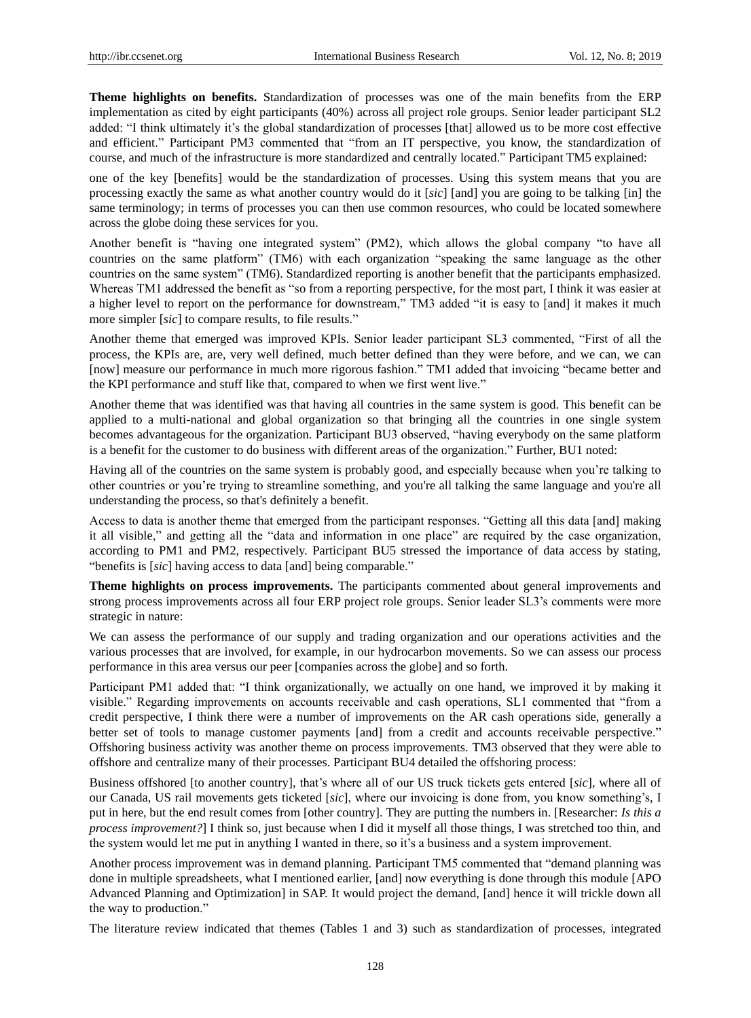**Theme highlights on benefits.** Standardization of processes was one of the main benefits from the ERP implementation as cited by eight participants (40%) across all project role groups. Senior leader participant SL2 added: "I think ultimately it's the global standardization of processes [that] allowed us to be more cost effective and efficient." Participant PM3 commented that "from an IT perspective, you know, the standardization of course, and much of the infrastructure is more standardized and centrally located." Participant TM5 explained:

one of the key [benefits] would be the standardization of processes. Using this system means that you are processing exactly the same as what another country would do it [*sic*] [and] you are going to be talking [in] the same terminology; in terms of processes you can then use common resources, who could be located somewhere across the globe doing these services for you.

Another benefit is "having one integrated system" (PM2), which allows the global company "to have all countries on the same platform" (TM6) with each organization "speaking the same language as the other countries on the same system" (TM6). Standardized reporting is another benefit that the participants emphasized. Whereas TM1 addressed the benefit as "so from a reporting perspective, for the most part, I think it was easier at a higher level to report on the performance for downstream," TM3 added "it is easy to [and] it makes it much more simpler [sic] to compare results, to file results."

Another theme that emerged was improved KPIs. Senior leader participant SL3 commented, "First of all the process, the KPIs are, are, very well defined, much better defined than they were before, and we can, we can [now] measure our performance in much more rigorous fashion." TM1 added that invoicing "became better and the KPI performance and stuff like that, compared to when we first went live."

Another theme that was identified was that having all countries in the same system is good. This benefit can be applied to a multi-national and global organization so that bringing all the countries in one single system becomes advantageous for the organization. Participant BU3 observed, "having everybody on the same platform is a benefit for the customer to do business with different areas of the organization." Further, BU1 noted:

Having all of the countries on the same system is probably good, and especially because when you're talking to other countries or you're trying to streamline something, and you're all talking the same language and you're all understanding the process, so that's definitely a benefit.

Access to data is another theme that emerged from the participant responses. "Getting all this data [and] making it all visible," and getting all the "data and information in one place" are required by the case organization, according to PM1 and PM2, respectively. Participant BU5 stressed the importance of data access by stating, "benefits is [sic] having access to data [and] being comparable."

**Theme highlights on process improvements.** The participants commented about general improvements and strong process improvements across all four ERP project role groups. Senior leader SL3's comments were more strategic in nature:

We can assess the performance of our supply and trading organization and our operations activities and the various processes that are involved, for example, in our hydrocarbon movements. So we can assess our process performance in this area versus our peer [companies across the globe] and so forth.

Participant PM1 added that: "I think organizationally, we actually on one hand, we improved it by making it visible." Regarding improvements on accounts receivable and cash operations, SL1 commented that "from a credit perspective, I think there were a number of improvements on the AR cash operations side, generally a better set of tools to manage customer payments [and] from a credit and accounts receivable perspective." Offshoring business activity was another theme on process improvements. TM3 observed that they were able to offshore and centralize many of their processes. Participant BU4 detailed the offshoring process:

Business offshored [to another country], that's where all of our US truck tickets gets entered [*sic*], where all of our Canada, US rail movements gets ticketed [*sic*], where our invoicing is done from, you know something's, I put in here, but the end result comes from [other country]. They are putting the numbers in. [Researcher: *Is this a process improvement?*] I think so, just because when I did it myself all those things, I was stretched too thin, and the system would let me put in anything I wanted in there, so it's a business and a system improvement.

Another process improvement was in demand planning. Participant TM5 commented that "demand planning was done in multiple spreadsheets, what I mentioned earlier, [and] now everything is done through this module [APO Advanced Planning and Optimization] in SAP. It would project the demand, [and] hence it will trickle down all the way to production."

The literature review indicated that themes (Tables 1 and 3) such as standardization of processes, integrated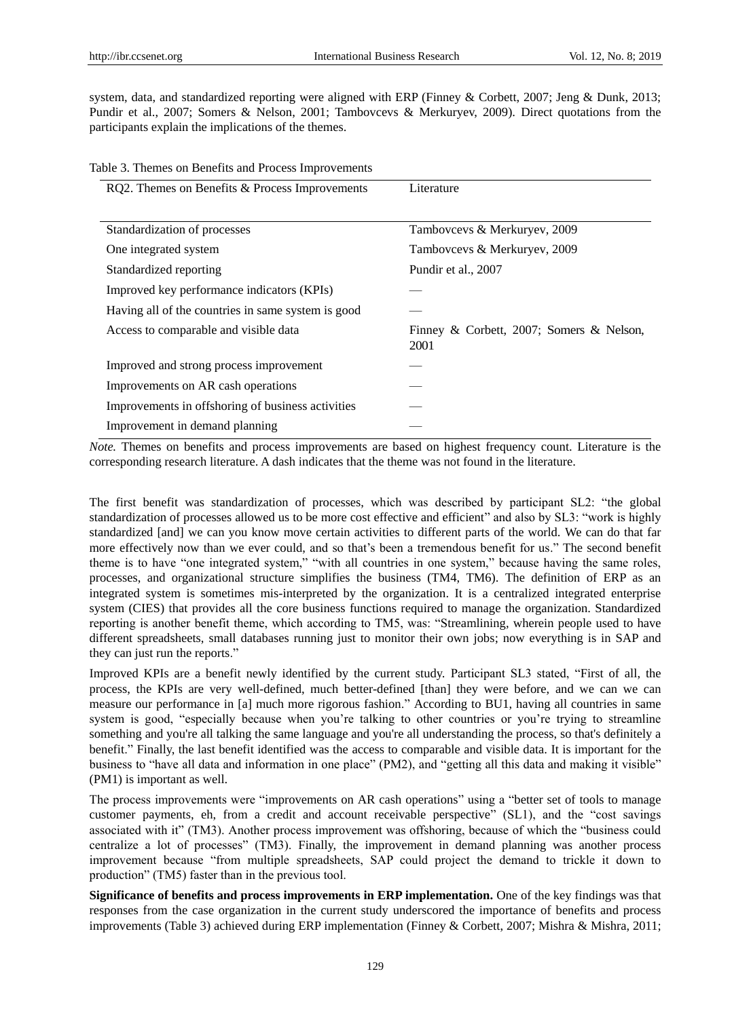system, data, and standardized reporting were aligned with ERP (Finney & Corbett, 2007; Jeng & Dunk, 2013; Pundir et al., 2007; Somers & Nelson, 2001; Tambovcevs & Merkuryev, 2009). Direct quotations from the participants explain the implications of the themes.

| Table 3. Themes on Benefits and Process Improvements |  |  |  |  |  |  |  |  |
|------------------------------------------------------|--|--|--|--|--|--|--|--|
|------------------------------------------------------|--|--|--|--|--|--|--|--|

| RQ2. Themes on Benefits & Process Improvements     | Literature                                       |  |  |  |  |
|----------------------------------------------------|--------------------------------------------------|--|--|--|--|
|                                                    |                                                  |  |  |  |  |
| Standardization of processes                       | Tambovcevs & Merkuryev, 2009                     |  |  |  |  |
| One integrated system                              | Tambovcevs & Merkuryev, 2009                     |  |  |  |  |
| Standardized reporting                             | Pundir et al., 2007                              |  |  |  |  |
| Improved key performance indicators (KPIs)         |                                                  |  |  |  |  |
| Having all of the countries in same system is good |                                                  |  |  |  |  |
| Access to comparable and visible data              | Finney & Corbett, 2007; Somers & Nelson,<br>2001 |  |  |  |  |
| Improved and strong process improvement            |                                                  |  |  |  |  |
| Improvements on AR cash operations                 |                                                  |  |  |  |  |
| Improvements in offshoring of business activities  |                                                  |  |  |  |  |
| Improvement in demand planning                     |                                                  |  |  |  |  |
|                                                    |                                                  |  |  |  |  |

*Note*. Themes on benefits and process improvements are based on highest frequency count. Literature is the corresponding research literature. A dash indicates that the theme was not found in the literature.

The first benefit was standardization of processes, which was described by participant SL2: "the global standardization of processes allowed us to be more cost effective and efficient" and also by SL3: "work is highly standardized [and] we can you know move certain activities to different parts of the world. We can do that far more effectively now than we ever could, and so that's been a tremendous benefit for us." The second benefit theme is to have "one integrated system," "with all countries in one system," because having the same roles, processes, and organizational structure simplifies the business (TM4, TM6). The definition of ERP as an integrated system is sometimes mis-interpreted by the organization. It is a centralized integrated enterprise system (CIES) that provides all the core business functions required to manage the organization. Standardized reporting is another benefit theme, which according to TM5, was: "Streamlining, wherein people used to have different spreadsheets, small databases running just to monitor their own jobs; now everything is in SAP and they can just run the reports."

Improved KPIs are a benefit newly identified by the current study. Participant SL3 stated, "First of all, the process, the KPIs are very well-defined, much better-defined [than] they were before, and we can we can measure our performance in [a] much more rigorous fashion." According to BU1, having all countries in same system is good, "especially because when you're talking to other countries or you're trying to streamline something and you're all talking the same language and you're all understanding the process, so that's definitely a benefit." Finally, the last benefit identified was the access to comparable and visible data. It is important for the business to "have all data and information in one place" (PM2), and "getting all this data and making it visible" (PM1) is important as well.

The process improvements were "improvements on AR cash operations" using a "better set of tools to manage customer payments, eh, from a credit and account receivable perspective" (SL1), and the "cost savings associated with it" (TM3). Another process improvement was offshoring, because of which the "business could centralize a lot of processes" (TM3). Finally, the improvement in demand planning was another process improvement because "from multiple spreadsheets, SAP could project the demand to trickle it down to production" (TM5) faster than in the previous tool.

**Significance of benefits and process improvements in ERP implementation.** One of the key findings was that responses from the case organization in the current study underscored the importance of benefits and process improvements (Table 3) achieved during ERP implementation (Finney & Corbett, 2007; Mishra & Mishra, 2011;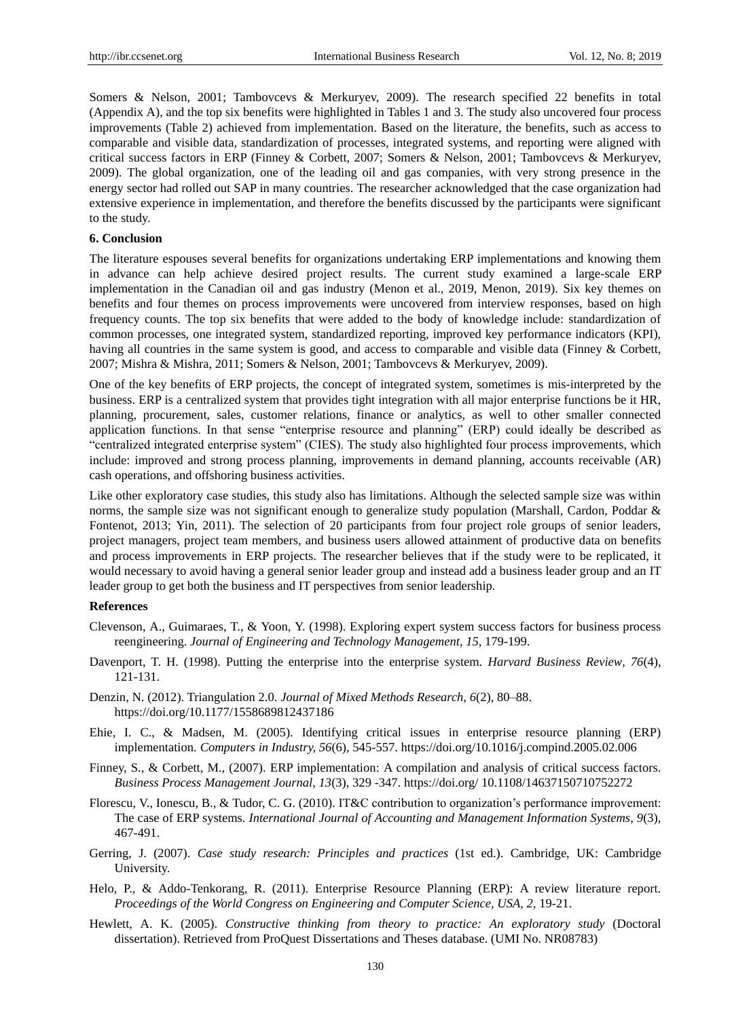Somers & Nelson, 2001; Tambovcevs & Merkuryev, 2009). The research specified 22 benefits in total (Appendix A), and the top six benefits were highlighted in Tables 1 and 3. The study also uncovered four process improvements (Table 2) achieved from implementation. Based on the literature, the benefits, such as access to comparable and visible data, standardization of processes, integrated systems, and reporting were aligned with critical success factors in ERP (Finney & Corbett, 2007; Somers & Nelson, 2001; Tambovcevs & Merkuryev, 2009). The global organization, one of the leading oil and gas companies, with very strong presence in the energy sector had rolled out SAP in many countries. The researcher acknowledged that the case organization had extensive experience in implementation, and therefore the benefits discussed by the participants were significant to the study.

#### **6. Conclusion**

The literature espouses several benefits for organizations undertaking ERP implementations and knowing them in advance can help achieve desired project results. The current study examined a large-scale ERP implementation in the Canadian oil and gas industry (Menon et al., 2019, Menon, 2019). Six key themes on benefits and four themes on process improvements were uncovered from interview responses, based on high frequency counts. The top six benefits that were added to the body of knowledge include: standardization of common processes, one integrated system, standardized reporting, improved key performance indicators (KPI), having all countries in the same system is good, and access to comparable and visible data (Finney & Corbett, 2007; Mishra & Mishra, 2011; Somers & Nelson, 2001; Tambovcevs & Merkuryev, 2009).

One of the key benefits of ERP projects, the concept of integrated system, sometimes is mis-interpreted by the business. ERP is a centralized system that provides tight integration with all major enterprise functions be it HR, planning, procurement, sales, customer relations, finance or analytics, as well to other smaller connected application functions. In that sense "enterprise resource and planning" (ERP) could ideally be described as ―centralized integrated enterprise system‖ (CIES). The study also highlighted four process improvements, which include: improved and strong process planning, improvements in demand planning, accounts receivable (AR) cash operations, and offshoring business activities.

Like other exploratory case studies, this study also has limitations. Although the selected sample size was within norms, the sample size was not significant enough to generalize study population (Marshall, Cardon, Poddar & Fontenot, 2013; Yin, 2011). The selection of 20 participants from four project role groups of senior leaders, project managers, project team members, and business users allowed attainment of productive data on benefits and process improvements in ERP projects. The researcher believes that if the study were to be replicated, it would necessary to avoid having a general senior leader group and instead add a business leader group and an IT leader group to get both the business and IT perspectives from senior leadership.

#### **References**

- Clevenson, A., Guimaraes, T., & Yoon, Y. (1998). Exploring expert system success factors for business process reengineering. *Journal of Engineering and Technology Management*, *15*, 179-199.
- Davenport, T. H. (1998). Putting the enterprise into the enterprise system. *Harvard Business Review*, *76*(4), 121-131.
- Denzin, N. (2012). Triangulation 2.0. *Journal of Mixed Methods Research, 6*(2), 80–88. https://doi.org/10.1177/1558689812437186
- Ehie, I. C., & Madsen, M. (2005). Identifying critical issues in enterprise resource planning (ERP) implementation. *Computers in Industry, 56*(6), 545-557. https://doi.org/10.1016/j.compind.2005.02.006
- Finney, S., & Corbett, M., (2007). ERP implementation: A compilation and analysis of critical success factors. *Business Process Management Journal*, *13*(3), 329 -347. https://doi.org/ 10.1108/14637150710752272
- Florescu, V., Ionescu, B., & Tudor, C. G. (2010). IT&C contribution to organization's performance improvement: The case of ERP systems. *International Journal of Accounting and Management Information Systems*, *9*(3), 467-491.
- Gerring, J. (2007). *Case study research: Principles and practices* (1st ed.). Cambridge, UK: Cambridge University.
- Helo, P., & Addo-Tenkorang, R. (2011). Enterprise Resource Planning (ERP): A review literature report. *Proceedings of the World Congress on Engineering and Computer Science, USA, 2,* 19-21.
- Hewlett, A. K. (2005). *Constructive thinking from theory to practice: An exploratory study* (Doctoral dissertation). Retrieved from ProQuest Dissertations and Theses database. (UMI No. NR08783)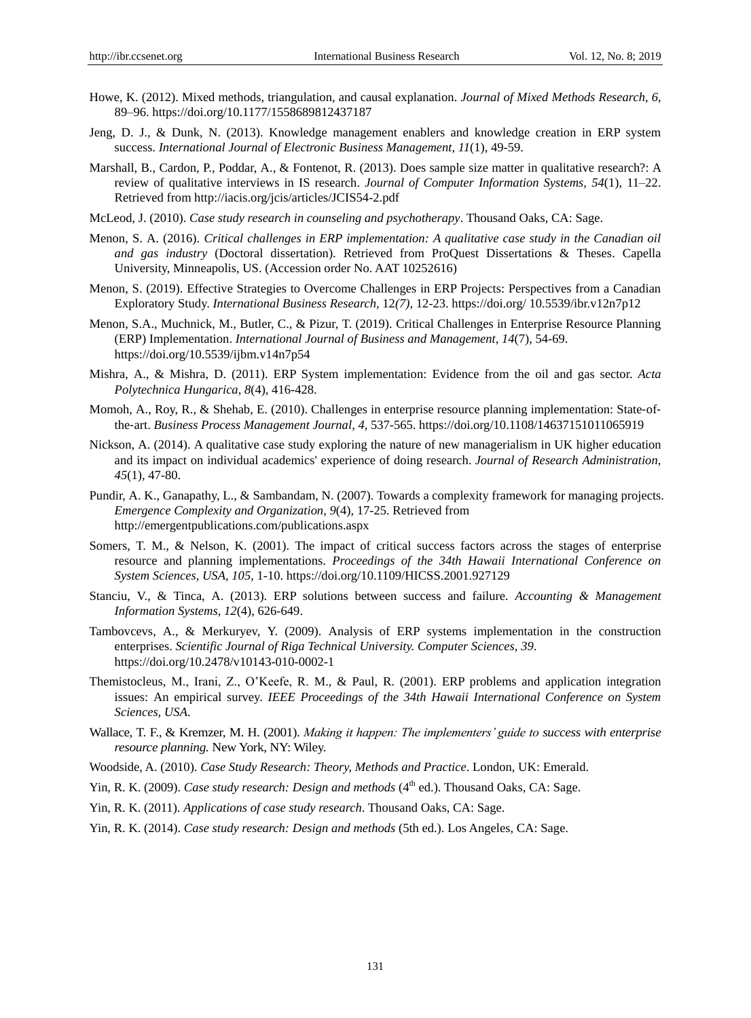- Howe, K. (2012). Mixed methods, triangulation, and causal explanation. *Journal of Mixed Methods Research*, *6*, 89–96. https://doi.org/10.1177/1558689812437187
- Jeng, D. J., & Dunk, N. (2013). Knowledge management enablers and knowledge creation in ERP system success. *International Journal of Electronic Business Management*, *11*(1), 49-59.
- Marshall, B., Cardon, P., Poddar, A., & Fontenot, R. (2013). Does sample size matter in qualitative research?: A review of qualitative interviews in IS research. *Journal of Computer Information Systems, 54*(1), 11–22. Retrieved from http://iacis.org/jcis/articles/JCIS54-2.pdf
- McLeod, J. (2010). *Case study research in counseling and psychotherapy*. Thousand Oaks, CA: Sage.
- Menon, S. A. (2016). *Critical challenges in ERP implementation: A qualitative case study in the Canadian oil and gas industry* (Doctoral dissertation). Retrieved from ProQuest Dissertations & Theses. Capella University, Minneapolis, US. (Accession order No. AAT 10252616)
- Menon, S. (2019). Effective Strategies to Overcome Challenges in ERP Projects: Perspectives from a Canadian Exploratory Study. *International Business Research,* 12*(7),* 12-23. https://doi.org/ 10.5539/ibr.v12n7p12
- Menon, S.A., Muchnick, M., Butler, C., & Pizur, T. (2019). Critical Challenges in Enterprise Resource Planning (ERP) Implementation. *International Journal of Business and Management, 14*(7)*,* 54-69. https://doi.org/10.5539/ijbm.v14n7p54
- Mishra, A., & Mishra, D. (2011). ERP System implementation: Evidence from the oil and gas sector. *Acta Polytechnica Hungarica, 8*(4), 416-428.
- Momoh, A., Roy, R., & Shehab, E. (2010). Challenges in enterprise resource planning implementation: State-ofthe‐art. *Business Process Management Journal, 4,* 537-565. https://doi.org/10.1108/14637151011065919
- Nickson, A. (2014). A qualitative case study exploring the nature of new managerialism in UK higher education and its impact on individual academics' experience of doing research. *Journal of Research Administration, 45*(1)*,* 47-80.
- Pundir, A. K., Ganapathy, L., & Sambandam, N. (2007). Towards a complexity framework for managing projects. *Emergence Complexity and Organization, 9*(4), 17-25. Retrieved from http://emergentpublications.com/publications.aspx
- Somers, T. M., & Nelson, K. (2001). The impact of critical success factors across the stages of enterprise resource and planning implementations. *Proceedings of the 34th Hawaii International Conference on System Sciences, USA, 105*, 1-10. https://doi.org/10.1109/HICSS.2001.927129
- Stanciu, V., & Tinca, A. (2013). ERP solutions between success and failure. *Accounting & Management Information Systems*, *12*(4), 626-649.
- Tambovcevs, A., & Merkuryev, Y. (2009). Analysis of ERP systems implementation in the construction enterprises. *Scientific Journal of Riga Technical University. Computer Sciences, 39*. https://doi.org/10.2478/v10143-010-0002-1
- Themistocleus, M., Irani, Z., O'Keefe, R. M., & Paul, R. (2001). ERP problems and application integration issues: An empirical survey. *IEEE Proceedings of the 34th Hawaii International Conference on System Sciences, USA*.
- Wallace, T. F., & Kremzer, M. H. (2001). *Making it happen: The implementers' guide to success with enterprise resource planning.* New York, NY: Wiley.
- Woodside, A. (2010). *Case Study Research: Theory, Methods and Practice*. London, UK: Emerald.
- Yin, R. K. (2009). *Case study research: Design and methods* (4<sup>th</sup> ed.). Thousand Oaks, CA: Sage.
- Yin, R. K. (2011). *Applications of case study research*. Thousand Oaks, CA: Sage.
- Yin, R. K. (2014). *Case study research: Design and methods* (5th ed.). Los Angeles, CA: Sage.